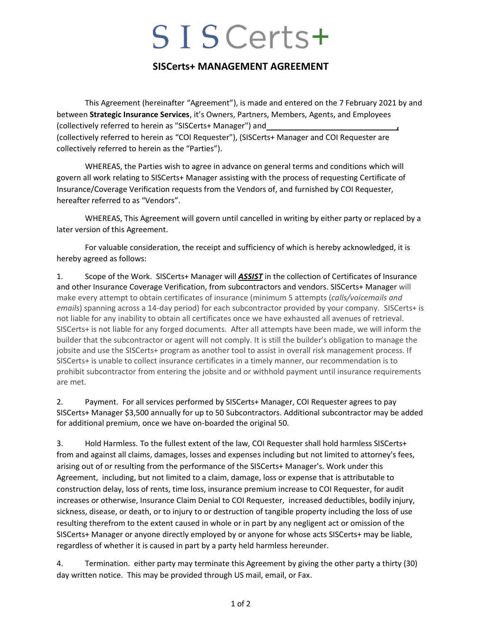## SISCerts+

## **SISCerts+ MANAGEMENT AGREEMENT**

This Agreement (hereinafter "Agreement"), is made and entered on the 7 February 2021 by and between **Strategic Insurance Services**, it's Owners, Partners, Members, Agents, and Employees (collectively referred to herein as "SISCerts+ Manager") and **,** (collectively referred to herein as "COI Requester"), (SISCerts+ Manager and COI Requester are collectively referred to herein as the "Parties").

WHEREAS, the Parties wish to agree in advance on general terms and conditions which will govern all work relating to SISCerts+ Manager assisting with the process of requesting Certificate of Insurance/Coverage Verification requests from the Vendors of, and furnished by COI Requester, hereafter referred to as "Vendors".

WHEREAS, This Agreement will govern until cancelled in writing by either party or replaced by a later version of this Agreement.

For valuable consideration, the receipt and sufficiency of which is hereby acknowledged, it is hereby agreed as follows:

1. Scope of the Work. SISCerts+ Manager will *ASSIST* in the collection of Certificates of Insurance and other Insurance Coverage Verification, from subcontractors and vendors. SISCerts+ Manager will make every attempt to obtain certificates of insurance (minimum 5 attempts (*calls/voicemails and emails*) spanning across a 14-day period) for each subcontractor provided by your company. SISCerts+ is not liable for any inability to obtain all certificates once we have exhausted all avenues of retrieval. SISCerts+ is not liable for any forged documents. After all attempts have been made, we will inform the builder that the subcontractor or agent will not comply. It is still the builder's obligation to manage the jobsite and use the SISCerts+ program as another tool to assist in overall risk management process. If SISCerts+ is unable to collect insurance certificates in a timely manner, our recommendation is to prohibit subcontractor from entering the jobsite and or withhold payment until insurance requirements are met.

2. Payment. For all services performed by SISCerts+ Manager, COI Requester agrees to pay SISCerts+ Manager \$3,500 annually for up to 50 Subcontractors. Additional subcontractor may be added for additional premium, once we have on-boarded the original 50.

3. Hold Harmless. To the fullest extent of the law, COI Requester shall hold harmless SISCerts+ from and against all claims, damages, losses and expenses including but not limited to attorney's fees, arising out of or resulting from the performance of the SISCerts+ Manager's. Work under this Agreement, including, but not limited to a claim, damage, loss or expense that is attributable to construction delay, loss of rents, time loss, insurance premium increase to COI Requester, for audit increases or otherwise, Insurance Claim Denial to COI Requester, increased deductibles, bodily injury, sickness, disease, or death, or to injury to or destruction of tangible property including the loss of use resulting therefrom to the extent caused in whole or in part by any negligent act or omission of the SISCerts+ Manager or anyone directly employed by or anyone for whose acts SISCerts+ may be liable, regardless of whether it is caused in part by a party held harmless hereunder.

4. Termination. either party may terminate this Agreement by giving the other party a thirty (30) day written notice. This may be provided through US mail, email, or Fax.